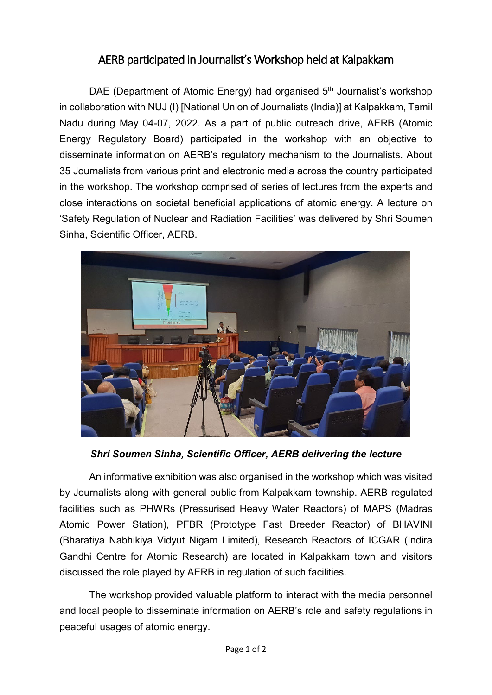## AERB participated in Journalist's Workshop held at Kalpakkam

DAE (Department of Atomic Energy) had organised 5<sup>th</sup> Journalist's workshop in collaboration with NUJ (I) [National Union of Journalists (India)] at Kalpakkam, Tamil Nadu during May 04-07, 2022. As a part of public outreach drive, AERB (Atomic Energy Regulatory Board) participated in the workshop with an objective to disseminate information on AERB's regulatory mechanism to the Journalists. About 35 Journalists from various print and electronic media across the country participated in the workshop. The workshop comprised of series of lectures from the experts and close interactions on societal beneficial applications of atomic energy. A lecture on 'Safety Regulation of Nuclear and Radiation Facilities' was delivered by Shri Soumen Sinha, Scientific Officer, AERB.



*Shri Soumen Sinha, Scientific Officer, AERB delivering the lecture*

An informative exhibition was also organised in the workshop which was visited by Journalists along with general public from Kalpakkam township. AERB regulated facilities such as PHWRs (Pressurised Heavy Water Reactors) of MAPS (Madras Atomic Power Station), PFBR (Prototype Fast Breeder Reactor) of BHAVINI (Bharatiya Nabhikiya Vidyut Nigam Limited), Research Reactors of ICGAR (Indira Gandhi Centre for Atomic Research) are located in Kalpakkam town and visitors discussed the role played by AERB in regulation of such facilities.

The workshop provided valuable platform to interact with the media personnel and local people to disseminate information on AERB's role and safety regulations in peaceful usages of atomic energy.